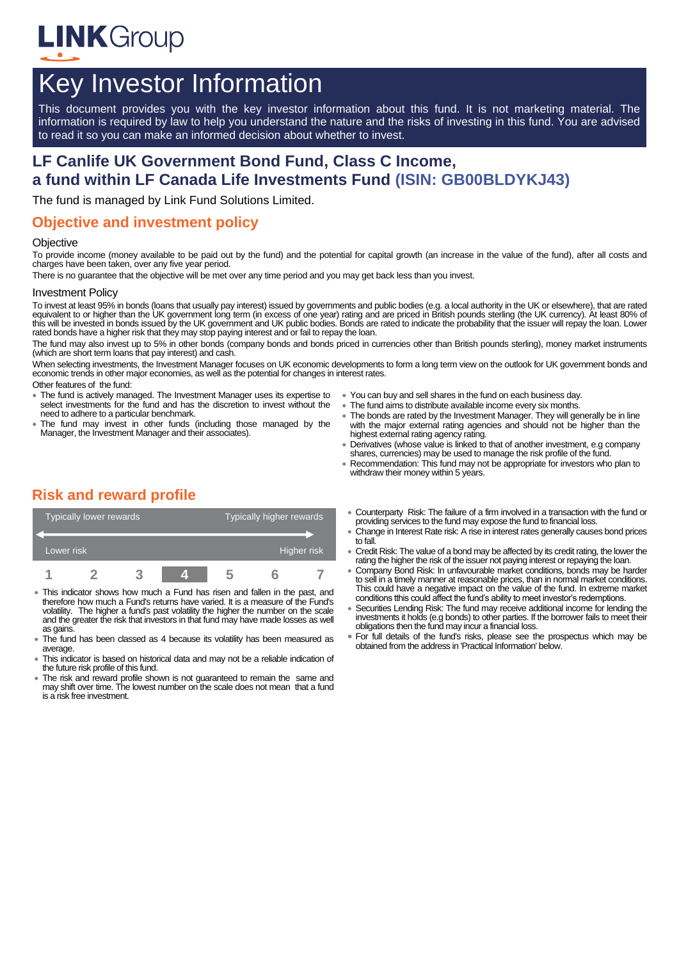

# Key Investor Information

This document provides you with the key investor information about this fund. It is not marketing material. The information is required by law to help you understand the nature and the risks of investing in this fund. You are advised to read it so you can make an informed decision about whether to invest.

# **LF Canlife UK Government Bond Fund, Class C Income, a fund within LF Canada Life Investments Fund (ISIN: GB00BLDYKJ43)**

The fund is managed by Link Fund Solutions Limited.

# **Objective and investment policy**

#### **Objective**

To provide income (money available to be paid out by the fund) and the potential for capital growth (an increase in the value of the fund), after all costs and charges have been taken, over any five year period.

There is no guarantee that the objective will be met over any time period and you may get back less than you invest.

#### Investment Policy

To invest at least 95% in bonds (loans that usually pay interest) issued by governments and public bodies (e.g. a local authority in the UK or elsewhere), that are rated equivalent to or higher than the UK government long term (in excess of one year) rating and are priced in British pounds sterling (the UK currency). At least 80% of this will be invested in bonds issued by the UK government and UK public bodies. Bonds are rated to indicate the probability that the issuer will repay the loan. Lower rated bonds have a higher risk that they may stop paying interest and or fail to repay the loan.

The fund may also invest up to 5% in other bonds (company bonds and bonds priced in currencies other than British pounds sterling), money market instruments (which are short term loans that pay interest) and cash.

When selecting investments, the Investment Manager focuses on UK economic developments to form a long term view on the outlook for UK government bonds and economic trends in other major economies, as well as the potential for changes in interest rates.

- Other features of the fund:
- The fund is actively managed. The Investment Manager uses its expertise to select investments for the fund and has the discretion to invest without the need to adhere to a particular benchmark.
- The fund may invest in other funds (including those managed by the Manager, the Investment Manager and their associates).
- You can buy and sell shares in the fund on each business day.
- $\bullet$  The fund aims to distribute available income every six months.
- The bonds are rated by the Investment Manager. They will generally be in line with the major external rating agencies and should not be higher than the highest external rating agency rating.
- Derivatives (whose value is linked to that of another investment, e.g company shares, currencies) may be used to manage the risk profile of the fund
- Recommendation: This fund may not be appropriate for investors who plan to withdraw their money within 5 years.

# **Risk and reward profile**

| <b>Typically lower rewards</b> |  |  |  | Typically higher rewards |  |             |
|--------------------------------|--|--|--|--------------------------|--|-------------|
| Lower risk                     |  |  |  |                          |  | Higher risk |
|                                |  |  |  | h                        |  |             |

- This indicator shows how much a Fund has risen and fallen in the past, and therefore how much a Fund's returns have varied. It is a measure of the Fund's volatility. The higher a fund's past volatility the higher the number on the scale and the greater the risk that investors in that fund may have made losses as well as gains.
- The fund has been classed as 4 because its volatility has been measured as average.
- This indicator is based on historical data and may not be a reliable indication of the future risk profile of this fund.
- The risk and reward profile shown is not guaranteed to remain the same and may shift over time. The lowest number on the scale does not mean that a fund is a risk free investment.
- Counterparty Risk: The failure of a firm involved in a transaction with the fund or providing services to the fund may expose the fund to financial loss.
- Change in Interest Rate risk: A rise in interest rates generally causes bond prices to fall.
- Credit Risk: The value of a bond may be affected by its credit rating, the lower the rating the higher the risk of the issuer not paying interest or repaying the loan.
- Company Bond Risk: In unfavourable market conditions, bonds may be harder to sell in a timely manner at reasonable prices, than in normal market conditions. This could have a negative impact on the value of the fund. In extreme market conditions tthis could affect the fund's ability to meet investor's redemptions.
- Securities Lending Risk: The fund may receive additional income for lending the investments it holds (e.g bonds) to other parties. If the borrower fails to meet their obligations then the fund may incur a financial loss.
- For full details of the fund's risks, please see the prospectus which may be obtained from the address in 'Practical Information' below.